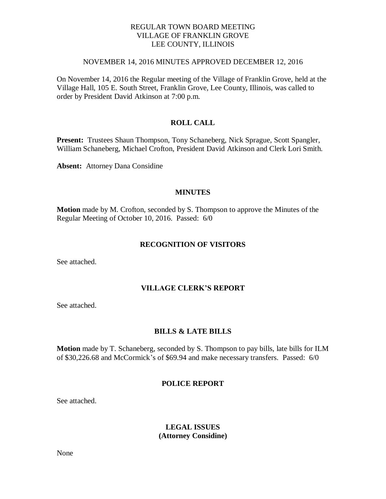## REGULAR TOWN BOARD MEETING VILLAGE OF FRANKLIN GROVE LEE COUNTY, ILLINOIS

#### NOVEMBER 14, 2016 MINUTES APPROVED DECEMBER 12, 2016

On November 14, 2016 the Regular meeting of the Village of Franklin Grove, held at the Village Hall, 105 E. South Street, Franklin Grove, Lee County, Illinois, was called to order by President David Atkinson at 7:00 p.m.

## **ROLL CALL**

**Present:** Trustees Shaun Thompson, Tony Schaneberg, Nick Sprague, Scott Spangler, William Schaneberg, Michael Crofton, President David Atkinson and Clerk Lori Smith.

**Absent:** Attorney Dana Considine

#### **MINUTES**

**Motion** made by M. Crofton, seconded by S. Thompson to approve the Minutes of the Regular Meeting of October 10, 2016. Passed: 6/0

#### **RECOGNITION OF VISITORS**

See attached.

### **VILLAGE CLERK'S REPORT**

See attached.

#### **BILLS & LATE BILLS**

**Motion** made by T. Schaneberg, seconded by S. Thompson to pay bills, late bills for ILM of \$30,226.68 and McCormick's of \$69.94 and make necessary transfers. Passed: 6/0

#### **POLICE REPORT**

See attached.

## **LEGAL ISSUES (Attorney Considine)**

None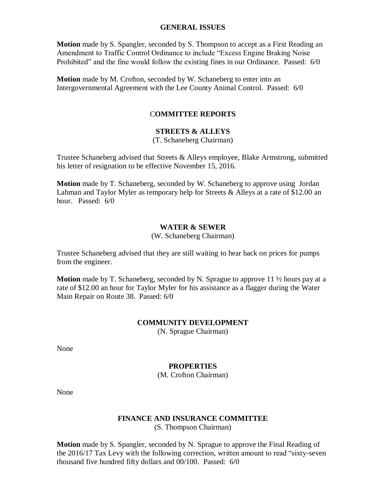### **GENERAL ISSUES**

**Motion** made by S. Spangler, seconded by S. Thompson to accept as a First Reading an Amendment to Traffic Control Ordinance to include "Excess Engine Braking Noise Prohibited" and the fine would follow the existing fines in our Ordinance. Passed: 6/0

**Motion** made by M. Crofton, seconded by W. Schaneberg to enter into an Intergovernmental Agreement with the Lee County Animal Control. Passed: 6/0

## C**OMMITTEE REPORTS**

## **STREETS & ALLEYS**

(T. Schaneberg Chairman)

Trustee Schaneberg advised that Streets & Alleys employee, Blake Armstrong, submitted his letter of resignation to be effective November 15, 2016.

**Motion** made by T. Schaneberg, seconded by W. Schaneberg to approve using Jordan Lahman and Taylor Myler as temporary help for Streets & Alleys at a rate of \$12.00 an hour. Passed: 6/0

## **WATER & SEWER**

#### (W. Schaneberg Chairman)

Trustee Schaneberg advised that they are still waiting to hear back on prices for pumps from the engineer.

**Motion** made by T. Schaneberg, seconded by N. Sprague to approve 11  $\frac{1}{2}$  hours pay at a rate of \$12.00 an hour for Taylor Myler for his assistance as a flagger during the Water Main Repair on Route 38. Passed: 6/0

## **COMMUNITY DEVELOPMENT**

(N. Sprague Chairman)

None

#### **PROPERTIES**

(M. Crofton Chairman)

None

## **FINANCE AND INSURANCE COMMITTEE**

(S. Thompson Chairman)

**Motion** made by S. Spangler, seconded by N. Sprague to approve the Final Reading of the 2016/17 Tax Levy with the following correction, written amount to read "sixty-seven thousand five hundred fifty dollars and 00/100. Passed: 6/0